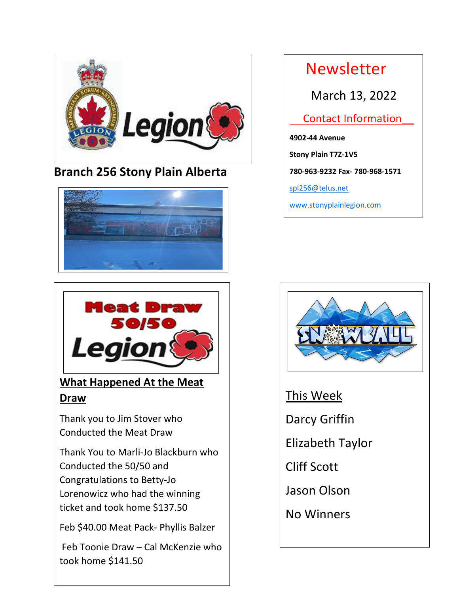

## **Branch 256 Stony Plain Alberta**





## **What Happened At the Meat Draw**

Thank you to Jim Stover who Conducted the Meat Draw

Conducted the  $50/50$  and Lorenowicz who had the winning Thank You to Marli-Jo Blackburn who Congratulations to Betty-Jo ticket and took home \$137.50

Feb \$40.00 Meat Pack- Phyllis Balzer

Feb Toonie Draw – Cal McKenzie who took home \$141.50

 Newsletter March 13, 2022 Contact Information\_\_ **4902-44 Avenue Stony Plain T7Z-1V5 780-963-9232 Fax- 780-968-1571** [spl256@telus.net](mailto:spl256@telus.net) [www.stonyplainlegion.com](http://www.stonyplainlegion.com/)



This Week Darcy Griffin Elizabeth Taylor Cliff Scott Jason Olson No Winners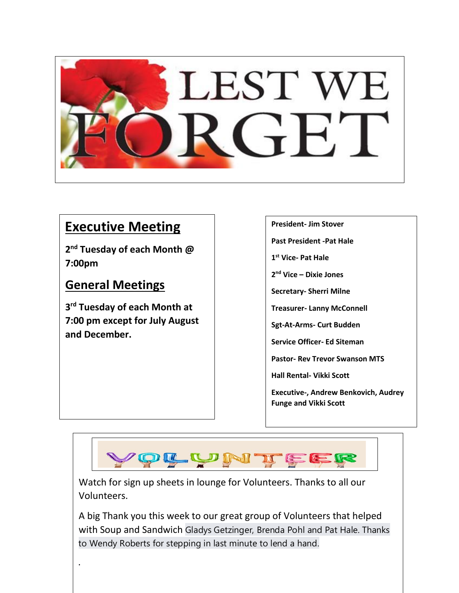

## **Executive Meeting**

**2 nd Tuesday of each Month @ 7:00pm** 

## **General Meetings**

.

**3 rd Tuesday of each Month at 7:00 pm except for July August and December.**

### **President- Jim Stover**

**Past President -Pat Hale**

**1 st Vice- Pat Hale**

**2 nd Vice – Dixie Jones**

**Secretary- Sherri Milne**

**Treasurer- Lanny McConnell**

**Sgt-At-Arms- Curt Budden**

**Service Officer- Ed Siteman**

**Pastor- Rev Trevor Swanson MTS**

**Hall Rental- Vikki Scott**

**Executive-, Andrew Benkovich, Audrey Funge and Vikki Scott** 



Watch for sign up sheets in lounge for Volunteers. Thanks to all our Volunteers.

A big Thank you this week to our great group of Volunteers that helped with Soup and Sandwich Gladys Getzinger, Brenda Pohl and Pat Hale. Thanks to Wendy Roberts for stepping in last minute to lend a hand.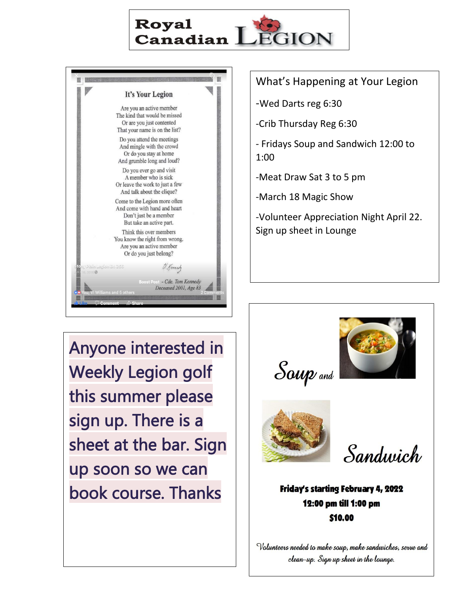



-Wed Darts reg 6:30

-Crib Thursday Reg 6:30

- Fridays Soup and Sandwich 12:00 to 1:00

-Meat Draw Sat 3 to 5 pm

-March 18 Magic Show

-Volunteer Appreciation Night April 22. Sign up sheet in Lounge

Anyone interested in Weekly Legion golf this summer please sign up. There is a sheet at the bar. Sign up soon so we can book course. Thanks







Sandwich

Friday's starting February 4, 2022 12:00 pm till 1:00 pm \$10.00

Volunteers needed to make soup, make sandwiches, serve and clean-up. Sign up sheet in the lounge.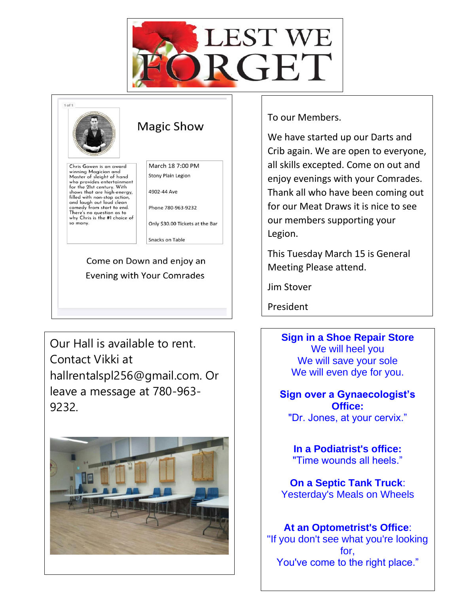



Our Hall is available to rent. Contact Vikki at hallrentalspl256@gmail.com. Or leave a message at 780-963- 9232.



To our Members.

We have started up our Darts and Crib again. We are open to everyone, all skills excepted. Come on out and enjoy evenings with your Comrades. Thank all who have been coming out for our Meat Draws it is nice to see our members supporting your Legion.

This Tuesday March 15 is General Meeting Please attend.

Jim Stover

President

**Sign in a Shoe Repair Store** We will heel you We will save your sole We will even dye for you.

**Sign over a Gynaecologist's Office:** "Dr. Jones, at your cervix."

**In a Podiatrist's office:** "Time wounds all heels."

**On a Septic Tank Truck**: Yesterday's Meals on Wheels

**At an Optometrist's Office**: "If you don't see what you're looking for, You've come to the right place."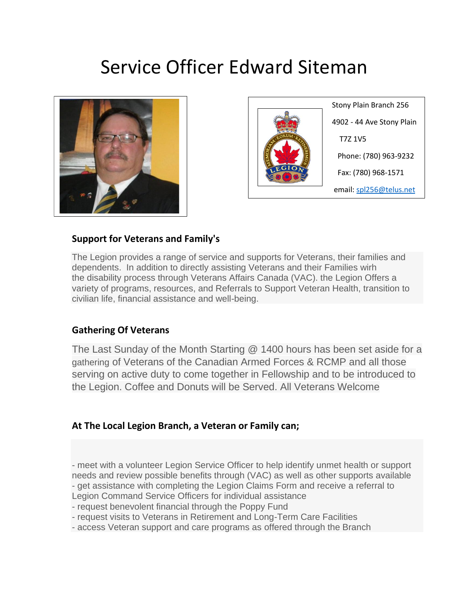# Service Officer Edward Siteman





 Stony Plain Branch 256 4902 - 44 Ave Stony Plain T7Z 1V5 Phone: (780) 963-9232 Fax: (780) 968-1571 email: spl256@telus.net

### **Support for Veterans and Family's**

The Legion provides a range of service and supports for Veterans, their families and dependents. In addition to directly assisting Veterans and their Families wirh the disability process through Veterans Affairs Canada (VAC). the Legion Offers a variety of programs, resources, and Referrals to Support Veteran Health, transition to civilian life, financial assistance and well-being.

### **Gathering Of Veterans**

The Last Sunday of the Month Starting @ 1400 hours has been set aside for a gathering of Veterans of the Canadian Armed Forces & RCMP and all those serving on active duty to come together in Fellowship and to be introduced to the Legion. Coffee and Donuts will be Served. All Veterans Welcome

### **At The Local Legion Branch, a Veteran or Family can;**

- meet with a volunteer Legion Service Officer to help identify unmet health or support needs and review possible benefits through (VAC) as well as other supports available - get assistance with completing the Legion Claims Form and receive a referral to Legion Command Service Officers for individual assistance

- request benevolent financial through the Poppy Fund

- request visits to Veterans in Retirement and Long-Term Care Facilities

- access Veteran support and care programs as offered through the Branch